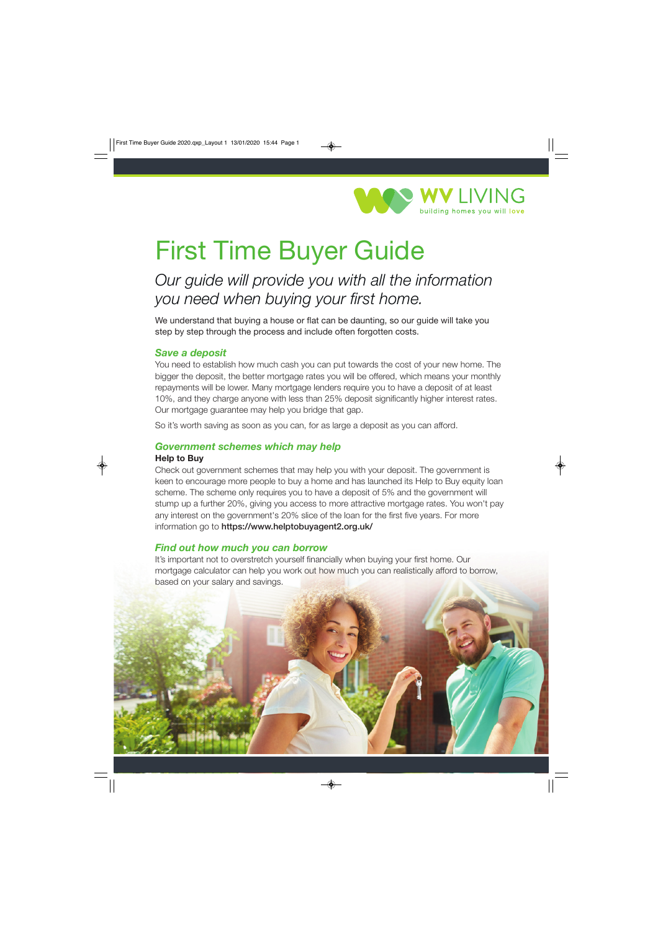

# First Time Buyer Guide

# *Our guide will provide you with all the information you need when buying your first home.*

We understand that buying a house or flat can be daunting, so our quide will take you step by step through the process and include often forgotten costs.

## *Save a deposit*

You need to establish how much cash you can put towards the cost of your new home. The bigger the deposit, the better mortgage rates you will be offered, which means your monthly repayments will be lower. Many mortgage lenders require you to have a deposit of at least 10%, and they charge anyone with less than 25% deposit significantly higher interest rates. Our mortgage guarantee may help you bridge that gap.

So it's worth saving as soon as you can, for as large a deposit as you can afford.

## *Government schemes which may help*

#### **Help to Buy**

Check out government schemes that may help you with your deposit. The government is keen to encourage more people to buy a home and has launched its Help to Buy equity loan scheme. The scheme only requires you to have a deposit of 5% and the government will stump up a further 20%, giving you access to more attractive mortgage rates. You won't pay any interest on the government's 20% slice of the loan for the first five years. For more information go to **https://www.helptobuyagent2.org.uk/** 

#### *Find out how much you can borrow*

It's important not to overstretch yourself financially when buying your first home. Our mortgage calculator can help you work out how much you can realistically afford to borrow, based on your salary and savings.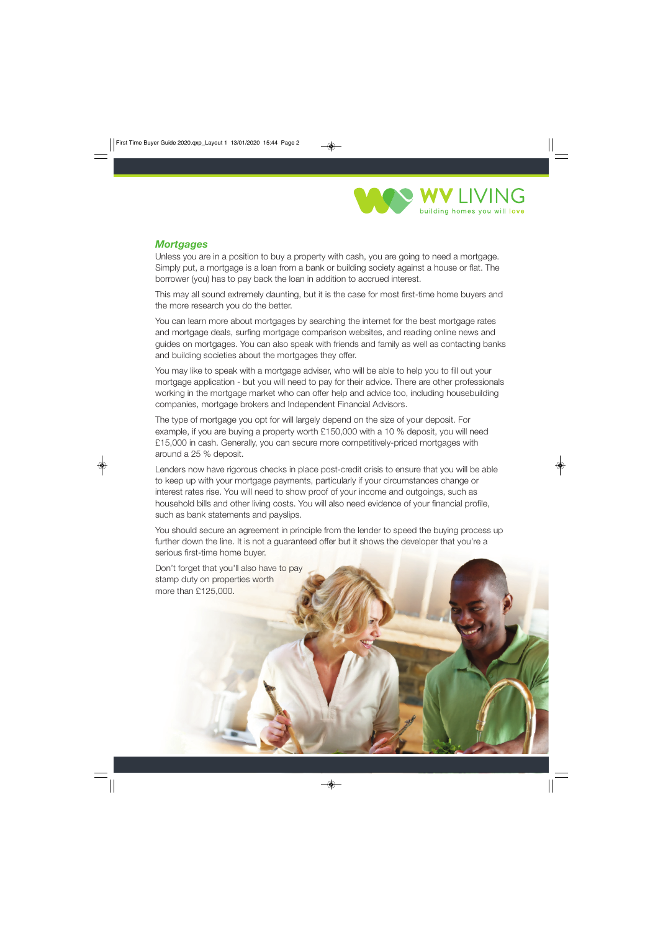

# *Mortgages*

Unless you are in a position to buy a property with cash, you are going to need a mortgage. Simply put, a mortgage is a loan from a bank or building society against a house or flat. The borrower (you) has to pay back the loan in addition to accrued interest.

This may all sound extremely daunting, but it is the case for most first-time home buyers and the more research you do the better.

You can learn more about mortgages by searching the internet for the best mortgage rates and mortgage deals, surfing mortgage comparison websites, and reading online news and guides on mortgages. You can also speak with friends and family as well as contacting banks and building societies about the mortgages they offer.

You may like to speak with a mortgage adviser, who will be able to help you to fill out your mortgage application - but you will need to pay for their advice. There are other professionals working in the mortgage market who can offer help and advice too, including housebuilding companies, mortgage brokers and Independent Financial Advisors.

The type of mortgage you opt for will largely depend on the size of your deposit. For example, if you are buying a property worth £150,000 with a 10 % deposit, you will need £15,000 in cash. Generally, you can secure more competitively-priced mortgages with around a 25 % deposit.

Lenders now have rigorous checks in place post-credit crisis to ensure that you will be able to keep up with your mortgage payments, particularly if your circumstances change or interest rates rise. You will need to show proof of your income and outgoings, such as household bills and other living costs. You will also need evidence of your financial profile, such as bank statements and payslips.

You should secure an agreement in principle from the lender to speed the buying process up further down the line. It is not a guaranteed offer but it shows the developer that you're a serious first-time home buyer.

Don't forget that you'll also have to pay stamp duty on properties worth more than £125,000.